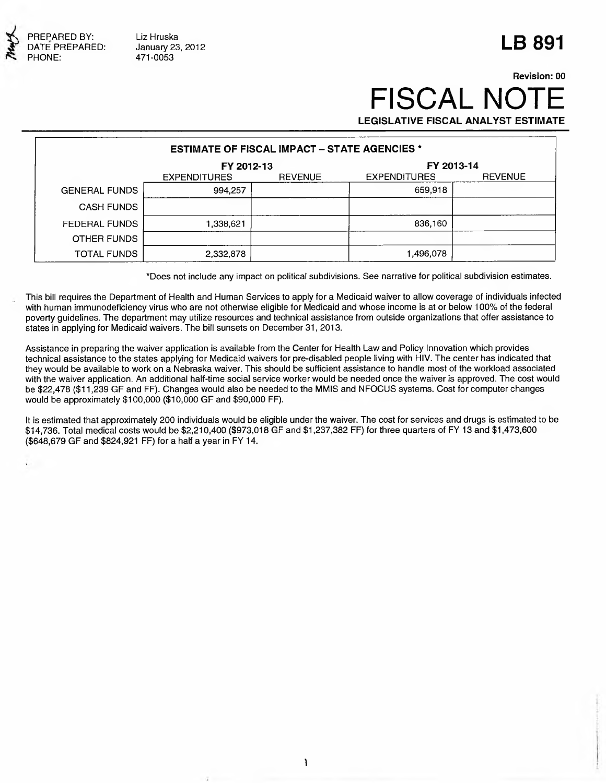

## **LB 891**

## **Revision: 00 FISCAL NO LEGISLATIVE FISCAL ANALYST ESTIMATE**

| <b>ESTIMATE OF FISCAL IMPACT - STATE AGENCIES *</b> |                     |                |                     |                |  |  |  |
|-----------------------------------------------------|---------------------|----------------|---------------------|----------------|--|--|--|
|                                                     | FY 2012-13          |                | FY 2013-14          |                |  |  |  |
|                                                     | <b>EXPENDITURES</b> | <b>REVENUE</b> | <b>EXPENDITURES</b> | <b>REVENUE</b> |  |  |  |
| <b>GENERAL FUNDS</b>                                | 994,257             |                | 659,918             |                |  |  |  |
| <b>CASH FUNDS</b>                                   |                     |                |                     |                |  |  |  |
| <b>FEDERAL FUNDS</b>                                | 1,338,621           |                | 836,160             |                |  |  |  |
| OTHER FUNDS                                         |                     |                |                     |                |  |  |  |
| <b>TOTAL FUNDS</b>                                  | 2,332,878           |                | 1,496,078           |                |  |  |  |

\*Does not include any impact on political subdivisions. See narrative for political subdivision estimates.

This bill requires the Department of Health and Human Services to apply for a Medicaid waiver to allow coverage of individuals infected with human immunodeficiency virus who are not otherwise eligible for Medicaid and whose income is at or below 100% of the federal poverty guidelines. The department may utilize resources and technical assistance from outside organizations that offer assistance to states in applying for Medicaid waivers. The bill sunsets on December 31, 2013.

Assistance in preparing the waiver application is available from the Center for Health Law and Policy Innovation which provides technical assistance to the states applying for Medicaid waivers for pre-disabled people living with HIV. The center has indicated that they would be available to work on a Nebraska waiver. This should be sufficient assistance to handle most of the workload associated with the waiver application. An additional half-time social service worker would be needed once the waiver is approved. The cost would be \$22,478 (\$11,239 GF and FF). Changes would also be needed to the MMIS and NFOCUS systems. Cost for computer changes would be approximately \$100,000 (\$10,000 GF and \$90,000 FF).

It is estimated that approximately 200 individuals would be eligible under the waiver. The cost for services and drugs is estimated to be \$14,736. Total medical costs would be \$2,210,400 (\$973,018 GF and \$1,237,382 FF) for three quarters of FY 13 and \$1,473,600 (\$648,679 GF and \$824,921 FF) for a half a year in FY 14.

*\*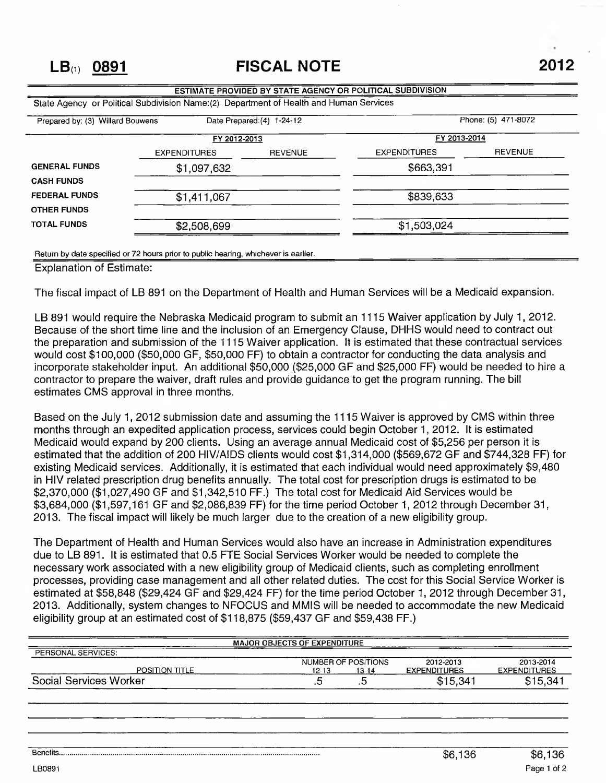|                                  | State Agency or Political Subdivision Name: (2) Department of Health and Human Services |                            |                                     |                |
|----------------------------------|-----------------------------------------------------------------------------------------|----------------------------|-------------------------------------|----------------|
| Prepared by: (3) Willard Bouwens |                                                                                         | Date Prepared: (4) 1-24-12 | Phone: (5) 471-8072<br>FY 2013-2014 |                |
|                                  | FY 2012-2013                                                                            |                            |                                     |                |
|                                  | <b>EXPENDITURES</b>                                                                     | <b>REVENUE</b>             | <b>EXPENDITURES</b>                 | <b>REVENUE</b> |
| <b>GENERAL FUNDS</b>             | \$1,097,632                                                                             |                            | \$663,391                           |                |
| <b>CASH FUNDS</b>                |                                                                                         |                            |                                     |                |
| <b>FEDERAL FUNDS</b>             | \$1,411,067                                                                             |                            | \$839,633                           |                |
| <b>OTHER FUNDS</b>               |                                                                                         |                            |                                     |                |
| <b>TOTAL FUNDS</b>               | \$2,508,699                                                                             |                            | \$1,503,024                         |                |

Return by date specified or 72 hours prior to public hearing, whichever is earlier.

Explanation of Estimate:

The fiscal impact of LB 891 on the Department of Health and Human Services will be a Medicaid expansion.

LB 891 would require the Nebraska Medicaid program to submit an 1115 Waiver application by July 1, 2012. Because of the short time line and the inclusion of an Emergency Clause, DHHS would need to contract out the preparation and submission of the 1115 Waiver application. It is estimated that these contractual services would cost \$100,000 (\$50,000 GF, \$50,000 FF) to obtain a contractor for conducting the data analysis and incorporate stakeholder input. An additional \$50,000 (\$25,000 GF and \$25,000 FF) would be needed to hire a contractor to prepare the waiver, draft rules and provide guidance to get the program running. The bill estimates CMS approval in three months.

Based on the July 1, 2012 submission date and assuming the 1115 Waiver is approved by CMS within three months through an expedited application process, services could begin October 1, 2012. It is estimated Medicaid would expand by 200 clients. Using an average annual Medicaid cost of \$5,256 per person it is estimated that the addition of 200 HIV/AIDS clients would cost \$1,314,000 (\$569,672 GF and \$744,328 FF) for existing Medicaid services. Additionally, it is estimated that each individual would need approximately \$9,480 in HIV related prescription drug benefits annually. The total cost for prescription drugs is estimated to be \$2,370,000 (\$1,027,490 GF and \$1,342,510 FF.) The total cost for Medicaid Aid Services would be \$3,684,000 (\$1,597,161 GF and \$2,086,839 FF) for the time period October 1, 2012 through December 31, 2013. The fiscal impact will likely be much larger due to the creation of a new eligibility group.

The Department of Health and Human Services would also have an increase in Administration expenditures due to LB 891. It is estimated that 0.5 FTE Social Services Worker would be needed to complete the necessary work associated with a new eligibility group of Medicaid clients, such as completing enrollment processes, providing case management and all other related duties. The cost for this Social Service Worker is estimated at \$58,848 (\$29,424 GF and \$29,424 FF) for the time period October 1, 2012 through December 31, 2013. Additionally, system changes to NFOCUS and MMIS will be needed to accommodate the new Medicaid eligibility group at an estimated cost of \$118,875 (\$59,437 GF and \$59,438 FF.)

| <b>MAJOR OBJECTS OF EXPENDITURE</b> |                     |                     |                     |  |  |  |  |  |
|-------------------------------------|---------------------|---------------------|---------------------|--|--|--|--|--|
| PERSONAL SERVICES:                  |                     |                     |                     |  |  |  |  |  |
|                                     | NUMBER OF POSITIONS | 2012-2013           | 2013-2014           |  |  |  |  |  |
| POSITION TITLE                      | $12 - 13$<br>13-14  | <b>EXPENDITURES</b> | <b>EXPENDITURES</b> |  |  |  |  |  |
| Social Services Worker              | ں.<br>              | \$15,341            | \$15,341            |  |  |  |  |  |
|                                     |                     |                     |                     |  |  |  |  |  |